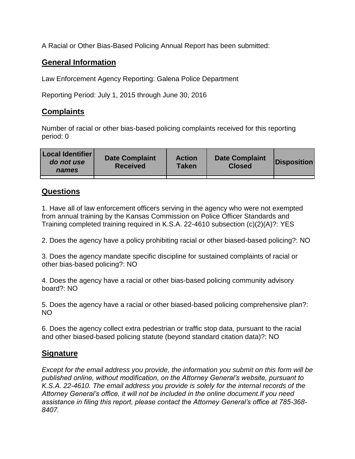A Racial or Other Bias-Based Policing Annual Report has been submitted:

## **General Information**

Law Enforcement Agency Reporting: Galena Police Department

Reporting Period: July 1, 2015 through June 30, 2016

# **Complaints**

Number of racial or other bias-based policing complaints received for this reporting period: 0

| <b>Local Identifier</b><br>do not use<br>names | <b>Date Complaint</b><br><b>Received</b> | <b>Action</b><br><b>Taken</b> | <b>Date Complaint</b><br><b>Closed</b> | Disposition |
|------------------------------------------------|------------------------------------------|-------------------------------|----------------------------------------|-------------|
|                                                |                                          |                               |                                        |             |

### **Questions**

1. Have all of law enforcement officers serving in the agency who were not exempted from annual training by the Kansas Commission on Police Officer Standards and Training completed training required in K.S.A. 22-4610 subsection (c)(2)(A)?: YES

2. Does the agency have a policy prohibiting racial or other biased-based policing?: NO

3. Does the agency mandate specific discipline for sustained complaints of racial or other bias-based policing?: NO

4. Does the agency have a racial or other bias-based policing community advisory board?: NO

5. Does the agency have a racial or other biased-based policing comprehensive plan?: NO

6. Does the agency collect extra pedestrian or traffic stop data, pursuant to the racial and other biased-based policing statute (beyond standard citation data)?: NO

## **Signature**

*Except for the email address you provide, the information you submit on this form will be published online, without modification, on the Attorney General's website, pursuant to K.S.A. 22-4610. The email address you provide is solely for the internal records of the Attorney General's office, it will not be included in the online document.If you need assistance in filing this report, please contact the Attorney General's office at 785-368- 8407.*